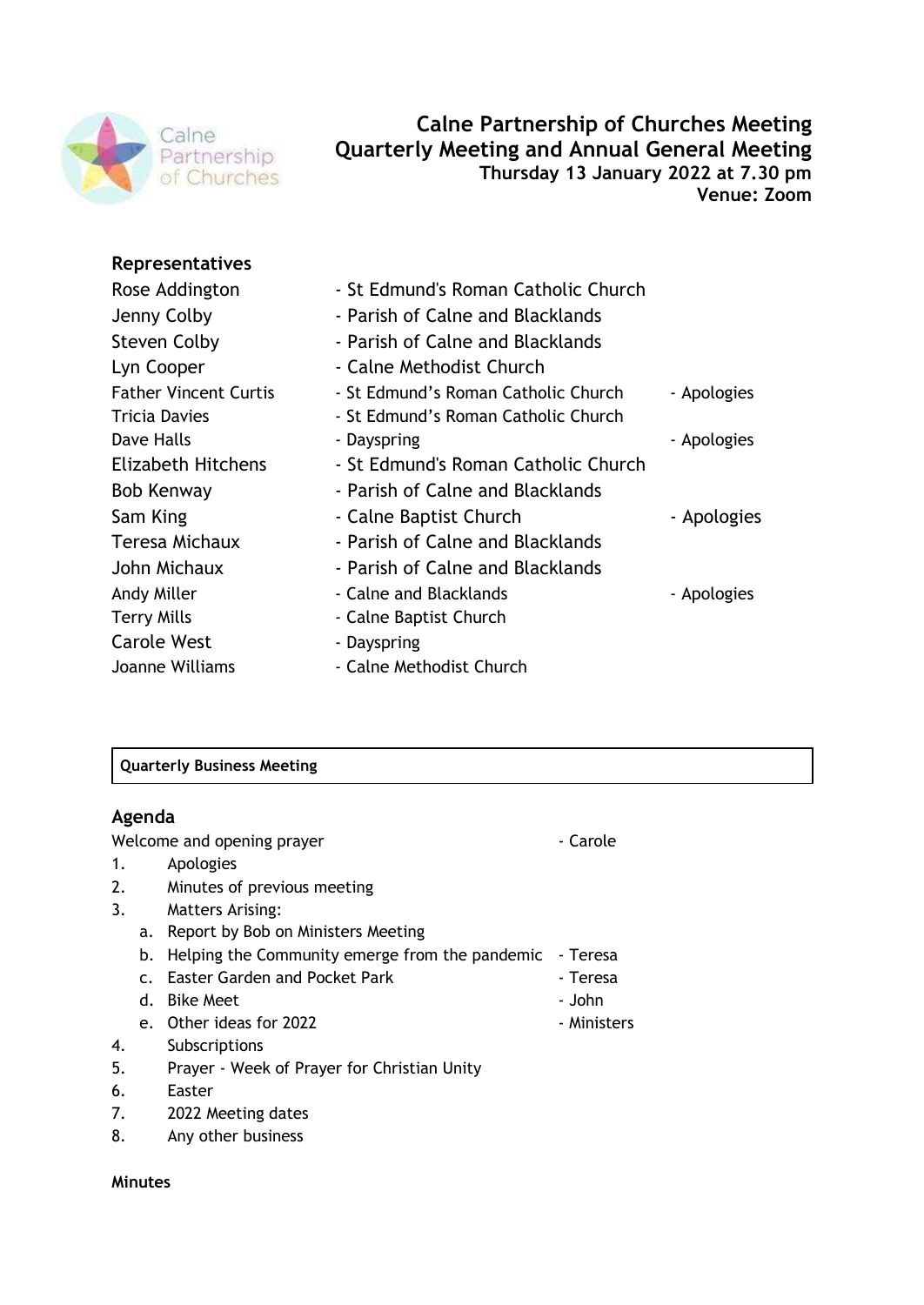

# **Calne Partnership of Churches Meeting Quarterly Meeting and Annual General Meeting Thursday 13 January 2022 at 7.30 pm Venue: Zoom**

## **Representatives**

| Rose Addington               | - St Edmund's Roman Catholic Church |             |
|------------------------------|-------------------------------------|-------------|
| Jenny Colby                  | - Parish of Calne and Blacklands    |             |
| <b>Steven Colby</b>          | - Parish of Calne and Blacklands    |             |
| Lyn Cooper                   | - Calne Methodist Church            |             |
| <b>Father Vincent Curtis</b> | - St Edmund's Roman Catholic Church | - Apologies |
| Tricia Davies                | - St Edmund's Roman Catholic Church |             |
| Dave Halls                   | - Dayspring                         | - Apologies |
| <b>Elizabeth Hitchens</b>    | - St Edmund's Roman Catholic Church |             |
| Bob Kenway                   | - Parish of Calne and Blacklands    |             |
| Sam King                     | - Calne Baptist Church              | - Apologies |
| Teresa Michaux               | - Parish of Calne and Blacklands    |             |
| John Michaux                 | - Parish of Calne and Blacklands    |             |
| Andy Miller                  | - Calne and Blacklands              | - Apologies |
| Terry Mills                  | - Calne Baptist Church              |             |
| <b>Carole West</b>           | - Dayspring                         |             |
| Joanne Williams              | - Calne Methodist Church            |             |
|                              |                                     |             |

## **Quarterly Business Meeting**

## **Agenda**

Welcome and opening prayer **Access 19 Yellow** - Carole

- 1. Apologies
- 2. Minutes of previous meeting
- 3. Matters Arising:
	- a. Report by Bob on Ministers Meeting
	- b. Helping the Community emerge from the pandemic Teresa
	- c. Easter Garden and Pocket Park **Figure 2018** Teresa
	- d. Bike Meet John John John John John John John John John John John John John John John John John John John John John John John John John John John John John John
	- e. Other ideas for 2022 **and Struth Struth and Struth August** 2022
- 4. Subscriptions
- 5. Prayer Week of Prayer for Christian Unity
- 6. Easter
- 7. 2022 Meeting dates
- 8. Any other business

### **Minutes**

- 
- 
-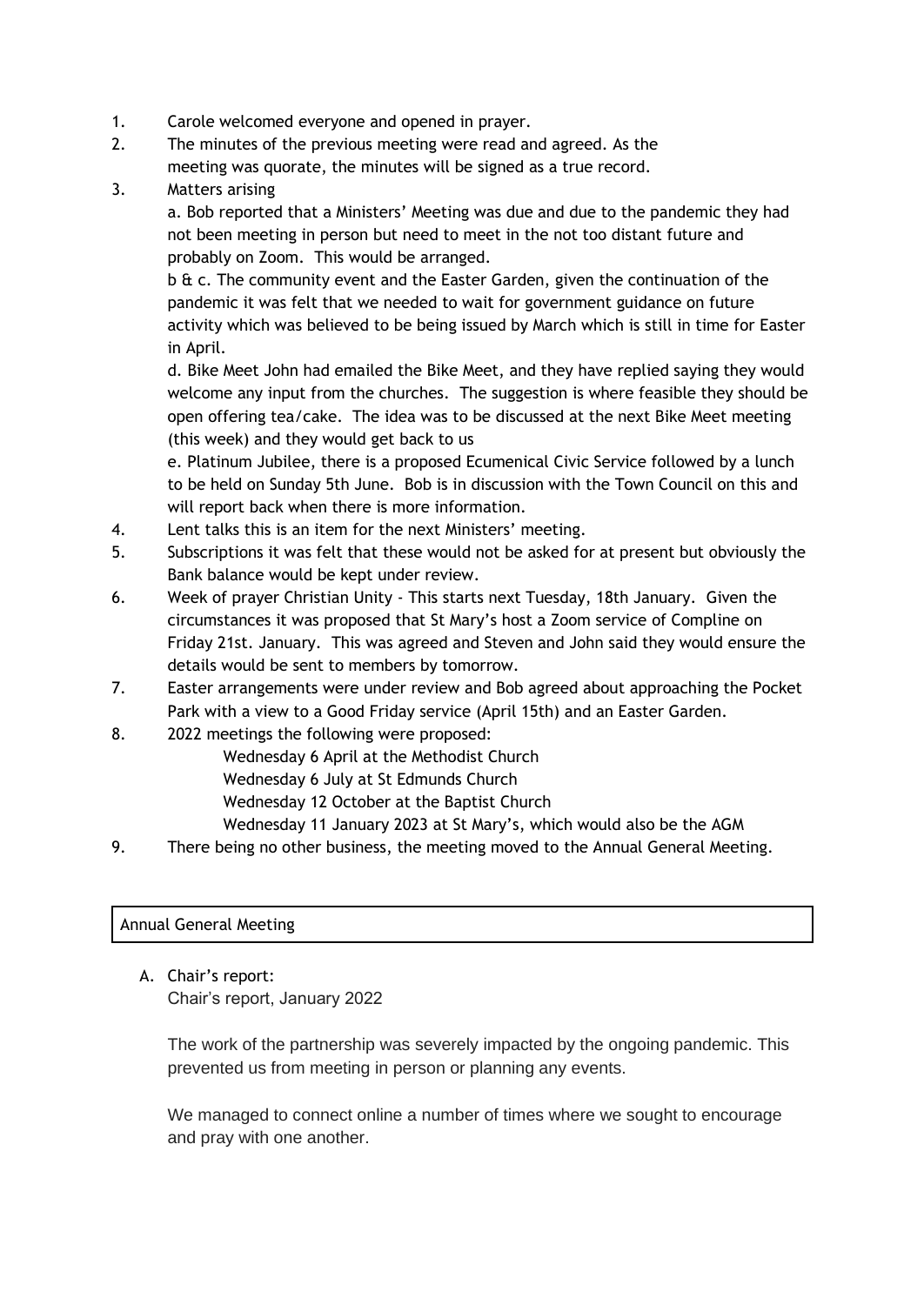- 1. Carole welcomed everyone and opened in prayer.
- 2. The minutes of the previous meeting were read and agreed. As the meeting was quorate, the minutes will be signed as a true record.
- 3. Matters arising

a. Bob reported that a Ministers' Meeting was due and due to the pandemic they had not been meeting in person but need to meet in the not too distant future and probably on Zoom. This would be arranged.

b & c. The community event and the Easter Garden, given the continuation of the pandemic it was felt that we needed to wait for government guidance on future activity which was believed to be being issued by March which is still in time for Easter in April.

d. Bike Meet John had emailed the Bike Meet, and they have replied saying they would welcome any input from the churches. The suggestion is where feasible they should be open offering tea/cake. The idea was to be discussed at the next Bike Meet meeting (this week) and they would get back to us

e. Platinum Jubilee, there is a proposed Ecumenical Civic Service followed by a lunch to be held on Sunday 5th June. Bob is in discussion with the Town Council on this and will report back when there is more information.

- 4. Lent talks this is an item for the next Ministers' meeting.
- 5. Subscriptions it was felt that these would not be asked for at present but obviously the Bank balance would be kept under review.
- 6. Week of prayer Christian Unity This starts next Tuesday, 18th January. Given the circumstances it was proposed that St Mary's host a Zoom service of Compline on Friday 21st. January. This was agreed and Steven and John said they would ensure the details would be sent to members by tomorrow.
- 7. Easter arrangements were under review and Bob agreed about approaching the Pocket Park with a view to a Good Friday service (April 15th) and an Easter Garden.
- 8. 2022 meetings the following were proposed:
	- Wednesday 6 April at the Methodist Church
		- Wednesday 6 July at St Edmunds Church
		- Wednesday 12 October at the Baptist Church
		- Wednesday 11 January 2023 at St Mary's, which would also be the AGM
- 9. There being no other business, the meeting moved to the Annual General Meeting.

### Annual General Meeting

A. Chair's report: Chair's report, January 2022

> The work of the partnership was severely impacted by the ongoing pandemic. This prevented us from meeting in person or planning any events.

We managed to connect online a number of times where we sought to encourage and pray with one another.